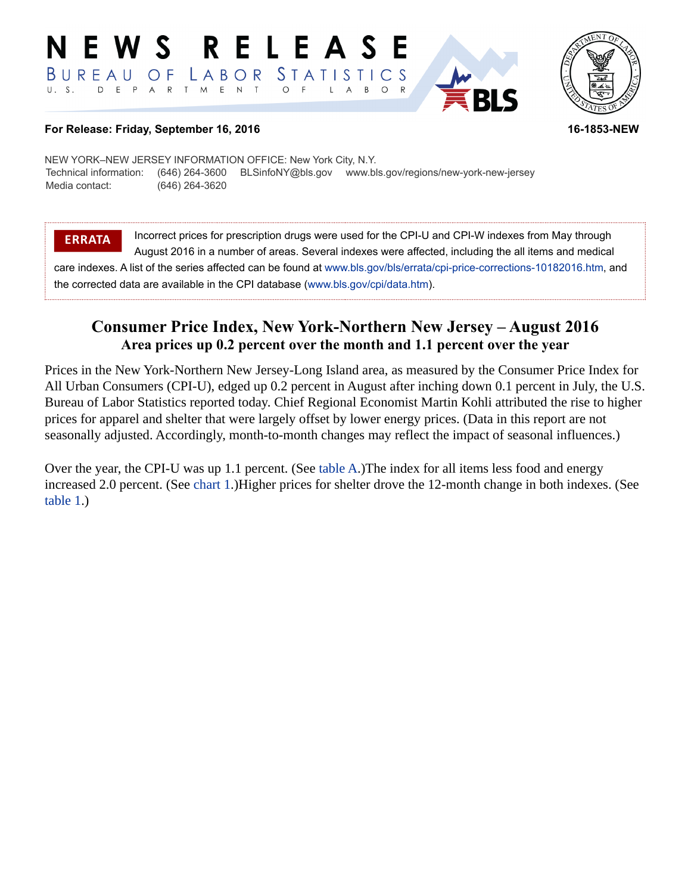#### RELEAS EWS BUREAU STATISTICS LABOR O F D E P A R T M E N T  $U. S.$  $\circ$ B  $\circ$  $\overline{A}$



**For Release: Friday, September 16, 2016 16-1853-NEW**

NEW YORK–NEW JERSEY INFORMATION OFFICE: New York City, N.Y. Technical information: (646) 264-3600 BLSinfoNY@bls.gov www.bls.gov/regions/new-york-new-jersey Media contact: (646) 264-3620

**ERRATA** Incorrect prices for prescription drugs were used for the CPI-U and CPI-W indexes from May through August 2016 in a number of areas. Several indexes were affected, including the all items and medical care indexes. A list of the series affected can be found at [www.bls.gov/bls/errata/cpi-price-corrections-10182016.htm,](https://www.bls.gov/bls/errata/cpi-price-corrections-10182016.htm) and the corrected data are available in the CPI database ([www.bls.gov/cpi/data.htm\)](https://www.bls.gov/cpi/data.htm).

# **Consumer Price Index, New York-Northern New Jersey – August 2016 Area prices up 0.2 percent over the month and 1.1 percent over the year**

Prices in the New York-Northern New Jersey-Long Island area, as measured by the Consumer Price Index for All Urban Consumers (CPI-U), edged up 0.2 percent in August after inching down 0.1 percent in July, the U.S. Bureau of Labor Statistics reported today. Chief Regional Economist Martin Kohli attributed the rise to higher prices for apparel and shelter that were largely offset by lower energy prices. (Data in this report are not seasonally adjusted. Accordingly, month-to-month changes may reflect the impact of seasonal influences.)

Over the year, the CPI-U was up 1.1 percent. (See [table A.](#page-2-0))The index for all items less food and energy increased 2.0 percent. (See [chart 1](#page-1-0).)Higher prices for shelter drove the 12-month change in both indexes. (See [table 1.](#page-4-0))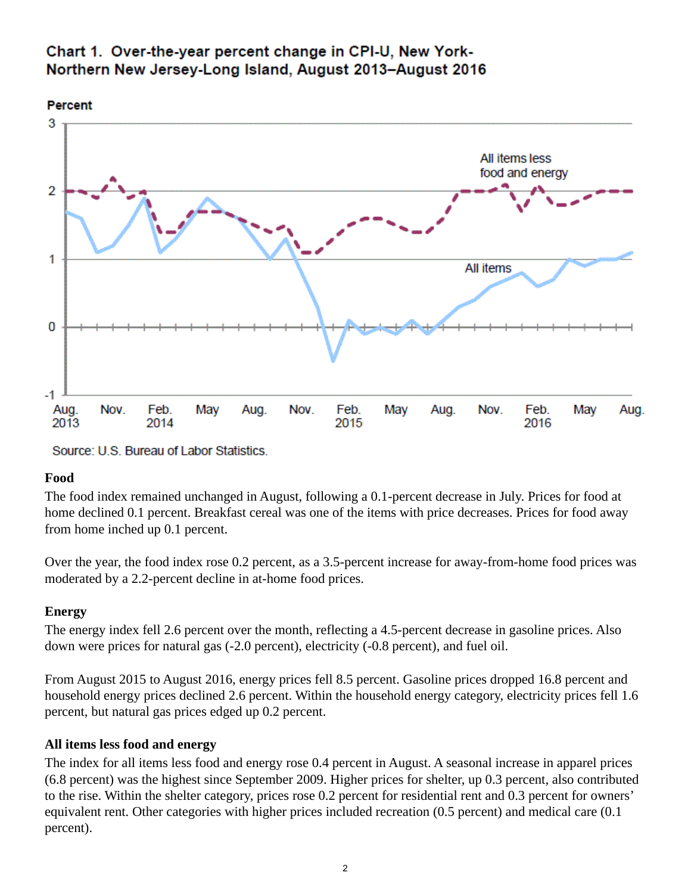<span id="page-1-0"></span>



Source: U.S. Bureau of Labor Statistics.

#### **Food**

The food index remained unchanged in August, following a 0.1-percent decrease in July. Prices for food at home declined 0.1 percent. Breakfast cereal was one of the items with price decreases. Prices for food away from home inched up 0.1 percent.

Over the year, the food index rose 0.2 percent, as a 3.5-percent increase for away-from-home food prices was moderated by a 2.2-percent decline in at-home food prices.

#### **Energy**

The energy index fell 2.6 percent over the month, reflecting a 4.5-percent decrease in gasoline prices. Also down were prices for natural gas (-2.0 percent), electricity (-0.8 percent), and fuel oil.

From August 2015 to August 2016, energy prices fell 8.5 percent. Gasoline prices dropped 16.8 percent and household energy prices declined 2.6 percent. Within the household energy category, electricity prices fell 1.6 percent, but natural gas prices edged up 0.2 percent.

#### **All items less food and energy**

The index for all items less food and energy rose 0.4 percent in August. A seasonal increase in apparel prices (6.8 percent) was the highest since September 2009. Higher prices for shelter, up 0.3 percent, also contributed to the rise. Within the shelter category, prices rose 0.2 percent for residential rent and 0.3 percent for owners' equivalent rent. Other categories with higher prices included recreation (0.5 percent) and medical care (0.1 percent).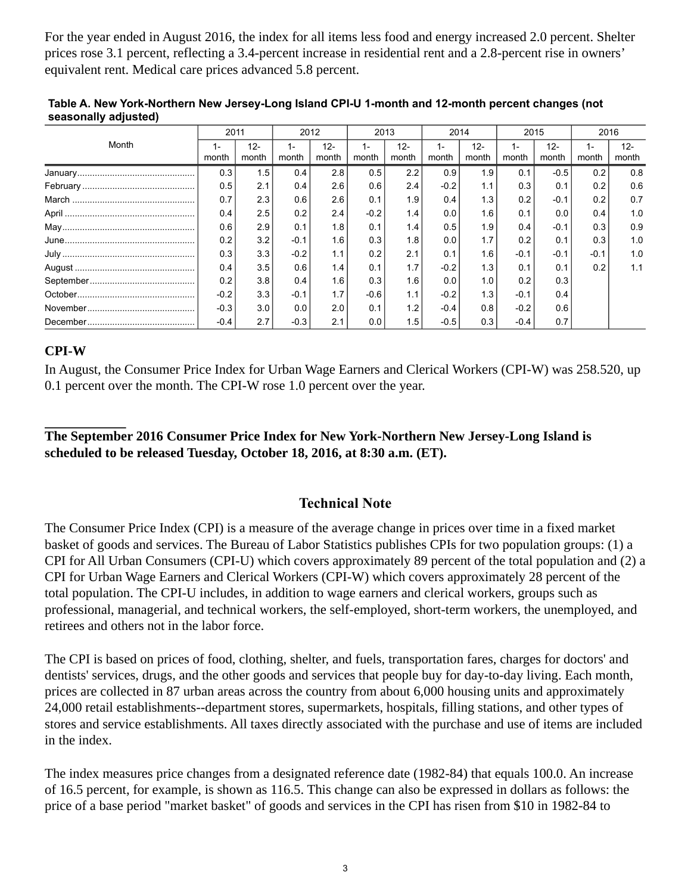For the year ended in August 2016, the index for all items less food and energy increased 2.0 percent. Shelter prices rose 3.1 percent, reflecting a 3.4-percent increase in residential rent and a 2.8-percent rise in owners' equivalent rent. Medical care prices advanced 5.8 percent.

|               | 2011        |                 | 2012           |                 | 2013         |                  | 2014           |                 | 2015   |                 | 2016         |                 |
|---------------|-------------|-----------------|----------------|-----------------|--------------|------------------|----------------|-----------------|--------|-----------------|--------------|-----------------|
| Month         | 1-<br>month | $12 -$<br>month | $1 -$<br>month | $12 -$<br>month | 1 -<br>month | $12 -$<br>month  | $1 -$<br>month | $12 -$<br>month | month  | $12 -$<br>month | 1 –<br>month | $12 -$<br>month |
|               | 0.3         | 1.5             | 0.4            | 2.8             | 0.5          | 2.2              | 0.9            | 1.9             | 0.1    | $-0.5$          | 0.2          | 0.8             |
|               | 0.5         | 2.1             | 0.4            | 2.6             | 0.6          | 2.4              | $-0.2$         | 1.1             | 0.3    | 0.1             | 0.2          | 0.6             |
|               | 0.7         | 2.3             | 0.6            | 2.6             | 0.1          | 1.9              | 0.4            | 1.3             | 0.2    | $-0.1$          | 0.2          | 0.7             |
|               | 0.4         | 2.5             | 0.2            | 2.4             | $-0.2$       | 1.4              | 0.0            | 1.6             | 0.1    | 0.0             | 0.4          | 1.0             |
| ${\sf May}\\$ | 0.6         | 2.9             | 0.1            | 1.8             | 0.1          | 1.4 <sub>1</sub> | 0.5            | 1.9             | 0.4    | $-0.1$          | 0.3          | 0.9             |
|               | 0.2         | 3.2             | $-0.1$         | 1.6             | 0.3          | 1.8              | 0.0            | 1.7             | 0.2    | 0.1             | 0.3          | 1.0             |
|               | 0.3         | 3.3             | $-0.2$         | 1.1             | 0.2          | 2.1              | 0.1            | 1.6             | $-0.1$ | $-0.1$          | $-0.1$       | 1.0             |
|               | 0.4         | 3.5             | 0.6            | 1.4             | 0.1          | 1.7,             | $-0.2$         | 1.3             | 0.1    | 0.1             | 0.2          | 1.1             |
|               | 0.2         | 3.8             | 0.4            | 1.6             | 0.3          | 1.6              | 0.0            | 1.0             | 0.2    | 0.3             |              |                 |
|               | $-0.2$      | 3.3             | $-0.1$         | 1.7             | $-0.6$       | 1.1              | $-0.2$         | 1.3             | $-0.1$ | 0.4             |              |                 |
|               | $-0.3$      | 3.0             | 0.0            | 2.0             | 0.1          | 1.2              | $-0.4$         | 0.8             | $-0.2$ | 0.6             |              |                 |
|               | $-0.4$      | 2.7             | $-0.3$         | 2.1             | 0.0          | 1.5              | $-0.5$         | 0.3             | -0.4   | 0.7             |              |                 |

<span id="page-2-0"></span>**Table A. New York-Northern New Jersey-Long Island CPI-U 1-month and 12-month percent changes (not seasonally adjusted)** 

### **CPI-W**

In August, the Consumer Price Index for Urban Wage Earners and Clerical Workers (CPI-W) was 258.520, up 0.1 percent over the month. The CPI-W rose 1.0 percent over the year.

## **The September 2016 Consumer Price Index for New York-Northern New Jersey-Long Island is scheduled to be released Tuesday, October 18, 2016, at 8:30 a.m. (ET).**

## **Technical Note**

The Consumer Price Index (CPI) is a measure of the average change in prices over time in a fixed market basket of goods and services. The Bureau of Labor Statistics publishes CPIs for two population groups: (1) a CPI for All Urban Consumers (CPI-U) which covers approximately 89 percent of the total population and (2) a CPI for Urban Wage Earners and Clerical Workers (CPI-W) which covers approximately 28 percent of the total population. The CPI-U includes, in addition to wage earners and clerical workers, groups such as professional, managerial, and technical workers, the self-employed, short-term workers, the unemployed, and retirees and others not in the labor force.

The CPI is based on prices of food, clothing, shelter, and fuels, transportation fares, charges for doctors' and dentists' services, drugs, and the other goods and services that people buy for day-to-day living. Each month, prices are collected in 87 urban areas across the country from about 6,000 housing units and approximately 24,000 retail establishments--department stores, supermarkets, hospitals, filling stations, and other types of stores and service establishments. All taxes directly associated with the purchase and use of items are included in the index.

The index measures price changes from a designated reference date (1982-84) that equals 100.0. An increase of 16.5 percent, for example, is shown as 116.5. This change can also be expressed in dollars as follows: the price of a base period "market basket" of goods and services in the CPI has risen from \$10 in 1982-84 to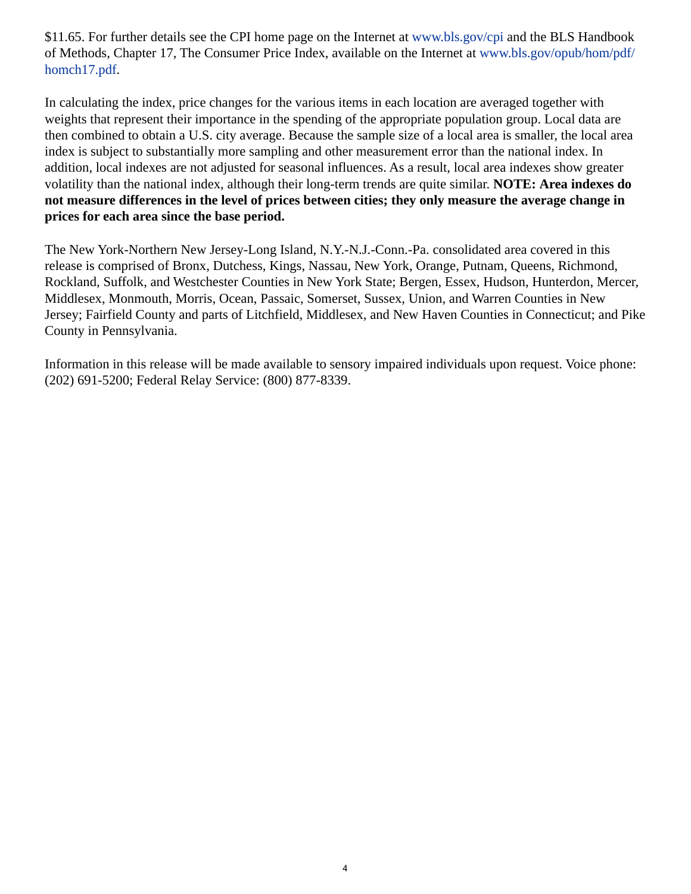\$11.65. For further details see the CPI home page on the Internet at [www.bls.gov/cpi](https://www.bls.gov/cpi) and the BLS Handbook of Methods, Chapter 17, The Consumer Price Index, available on the Internet at [www.bls.gov/opub/hom/pdf/](https://www.bls.gov/opub/hom/pdf/homch17.pdf) [homch17.pdf](https://www.bls.gov/opub/hom/pdf/homch17.pdf).

In calculating the index, price changes for the various items in each location are averaged together with weights that represent their importance in the spending of the appropriate population group. Local data are then combined to obtain a U.S. city average. Because the sample size of a local area is smaller, the local area index is subject to substantially more sampling and other measurement error than the national index. In addition, local indexes are not adjusted for seasonal influences. As a result, local area indexes show greater volatility than the national index, although their long-term trends are quite similar. **NOTE: Area indexes do not measure differences in the level of prices between cities; they only measure the average change in prices for each area since the base period.**

The New York-Northern New Jersey-Long Island, N.Y.-N.J.-Conn.-Pa. consolidated area covered in this release is comprised of Bronx, Dutchess, Kings, Nassau, New York, Orange, Putnam, Queens, Richmond, Rockland, Suffolk, and Westchester Counties in New York State; Bergen, Essex, Hudson, Hunterdon, Mercer, Middlesex, Monmouth, Morris, Ocean, Passaic, Somerset, Sussex, Union, and Warren Counties in New Jersey; Fairfield County and parts of Litchfield, Middlesex, and New Haven Counties in Connecticut; and Pike County in Pennsylvania.

Information in this release will be made available to sensory impaired individuals upon request. Voice phone: (202) 691-5200; Federal Relay Service: (800) 877-8339.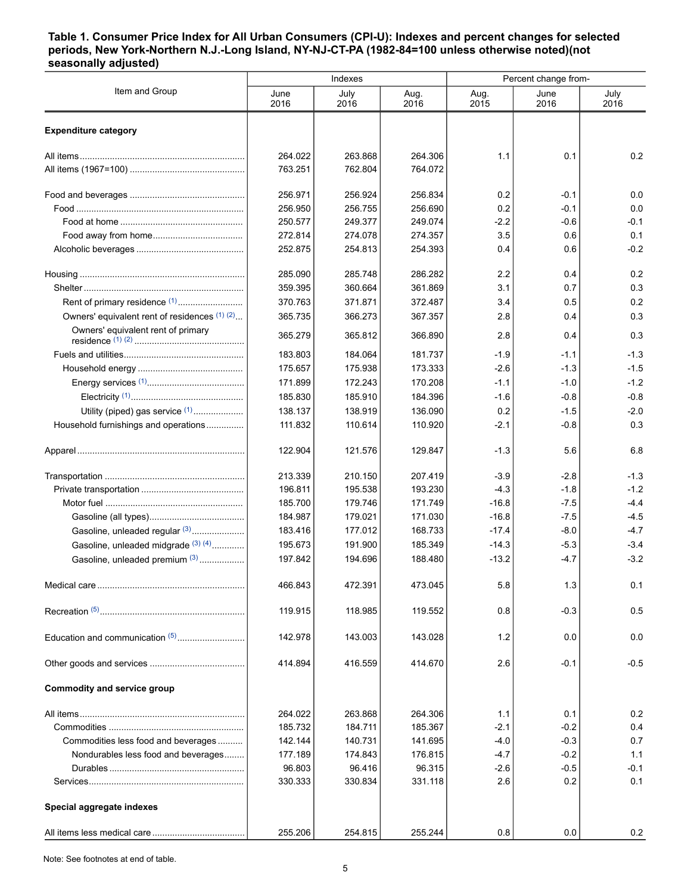#### <span id="page-4-0"></span>**Table 1. Consumer Price Index for All Urban Consumers (CPI-U): Indexes and percent changes for selected periods, New York-Northern N.J.-Long Island, NY-NJ-CT-PA (1982-84=100 unless otherwise noted)(not seasonally adjusted)**

| Item and Group<br>July<br>July<br>June<br>Aug.<br>Aug.<br>June<br>2016<br>2016<br>2016<br>2015<br>2016<br>2016<br><b>Expenditure category</b><br>0.2<br>264.022<br>263.868<br>264.306<br>1.1<br>0.1<br>763.251<br>762.804<br>764.072<br>256.971<br>256.924<br>256.834<br>0.2<br>$-0.1$<br>0.0<br>0.2<br>$-0.1$<br>0.0<br>256.950<br>256.755<br>256.690<br>250.577<br>249.377<br>249.074<br>$-2.2$<br>$-0.6$<br>$-0.1$<br>3.5<br>272.814<br>274.078<br>274.357<br>0.6<br>0.1<br>0.4<br>$-0.2$<br>252.875<br>254.813<br>254.393<br>0.6<br>0.2<br>285.090<br>285.748<br>286.282<br>2.2<br>0.4<br>0.3<br>359.395<br>360.664<br>361.869<br>3.1<br>0.7<br>0.2<br>Rent of primary residence <sup>(1)</sup><br>370.763<br>371.871<br>372.487<br>3.4<br>0.5<br>Owners' equivalent rent of residences (1) (2)<br>0.3<br>365.735<br>366.273<br>2.8<br>0.4<br>367.357<br>Owners' equivalent rent of primary<br>0.3<br>365.279<br>365.812<br>366.890<br>2.8<br>0.4<br>183.803<br>181.737<br>$-1.3$<br>184.064<br>$-1.9$<br>$-1.1$<br>$-1.5$<br>175.657<br>$-2.6$<br>$-1.3$<br>175.938<br>173.333<br>$-1.2$<br>171.899<br>172.243<br>170.208<br>$-1.1$<br>$-1.0$<br>185.830<br>$-0.8$<br>185.910<br>184.396<br>$-1.6$<br>$-0.8$<br>Utility (piped) gas service (1)<br>0.2<br>$-2.0$<br>138.137<br>138.919<br>136.090<br>$-1.5$<br>0.3<br>Household furnishings and operations<br>111.832<br>110.614<br>110.920<br>$-2.1$<br>$-0.8$<br>6.8<br>122.904<br>121.576<br>129.847<br>$-1.3$<br>5.6<br>$-1.3$<br>213.339<br>210.150<br>207.419<br>$-3.9$<br>$-2.8$<br>$-1.2$<br>195.538<br>$-4.3$<br>196.811<br>193.230<br>$-1.8$<br>$-4.4$<br>185.700<br>179.746<br>171.749<br>$-16.8$<br>$-7.5$<br>$-4.5$<br>184.987<br>179.021<br>171.030<br>$-16.8$<br>$-7.5$<br>Gasoline, unleaded regular (3)<br>$-4.7$<br>183.416<br>177.012<br>168.733<br>$-17.4$<br>$-8.0$<br>Gasoline, unleaded midgrade (3) (4)<br>195.673<br>$-3.4$<br>191.900<br>185.349<br>$-14.3$<br>$-5.3$<br>$-3.2$<br>Gasoline, unleaded premium (3)<br>197.842<br>$-13.2$<br>194.696<br>188.480<br>$-4.7$<br>466.843<br>472.391<br>473.045<br>5.8<br>1.3<br>0.1<br>0.5<br>119.915<br>118.985<br>119.552<br>0.8<br>$-0.3$<br>Education and communication (5)<br>0.0<br>142.978<br>143.003<br>143.028<br>1.2<br>0.0<br>$-0.5$<br>414.894<br>416.559<br>414.670<br>2.6<br>$-0.1$<br><b>Commodity and service group</b><br>264.022<br>0.2<br>263.868<br>264.306<br>1.1<br>0.1<br>185.732<br>184.711<br>185.367<br>$-0.2$<br>0.4<br>$-2.1$<br>Commodities less food and beverages<br>142.144<br>140.731<br>$-0.3$<br>0.7<br>141.695<br>$-4.0$<br>Nondurables less food and beverages<br>177.189<br>174.843<br>176.815<br>$-4.7$<br>$-0.2$<br>1.1<br>96.803<br>96.416<br>96.315<br>$-0.5$<br>$-0.1$<br>$-2.6$<br>330.333<br>330.834<br>331.118<br>2.6<br>0.2<br>0.1<br>Special aggregate indexes<br>255.206<br>254.815<br>255.244<br>0.8<br>0.0<br>$0.2\,$ |  | Indexes | Percent change from- |  |  |  |
|---------------------------------------------------------------------------------------------------------------------------------------------------------------------------------------------------------------------------------------------------------------------------------------------------------------------------------------------------------------------------------------------------------------------------------------------------------------------------------------------------------------------------------------------------------------------------------------------------------------------------------------------------------------------------------------------------------------------------------------------------------------------------------------------------------------------------------------------------------------------------------------------------------------------------------------------------------------------------------------------------------------------------------------------------------------------------------------------------------------------------------------------------------------------------------------------------------------------------------------------------------------------------------------------------------------------------------------------------------------------------------------------------------------------------------------------------------------------------------------------------------------------------------------------------------------------------------------------------------------------------------------------------------------------------------------------------------------------------------------------------------------------------------------------------------------------------------------------------------------------------------------------------------------------------------------------------------------------------------------------------------------------------------------------------------------------------------------------------------------------------------------------------------------------------------------------------------------------------------------------------------------------------------------------------------------------------------------------------------------------------------------------------------------------------------------------------------------------------------------------------------------------------------------------------------------------------------------------------------------------------------------------------------------------------------------------------------------------------------------------------------------------------------------------------------------------------------------------------------------------------------------------------|--|---------|----------------------|--|--|--|
|                                                                                                                                                                                                                                                                                                                                                                                                                                                                                                                                                                                                                                                                                                                                                                                                                                                                                                                                                                                                                                                                                                                                                                                                                                                                                                                                                                                                                                                                                                                                                                                                                                                                                                                                                                                                                                                                                                                                                                                                                                                                                                                                                                                                                                                                                                                                                                                                                                                                                                                                                                                                                                                                                                                                                                                                                                                                                                   |  |         |                      |  |  |  |
|                                                                                                                                                                                                                                                                                                                                                                                                                                                                                                                                                                                                                                                                                                                                                                                                                                                                                                                                                                                                                                                                                                                                                                                                                                                                                                                                                                                                                                                                                                                                                                                                                                                                                                                                                                                                                                                                                                                                                                                                                                                                                                                                                                                                                                                                                                                                                                                                                                                                                                                                                                                                                                                                                                                                                                                                                                                                                                   |  |         |                      |  |  |  |
|                                                                                                                                                                                                                                                                                                                                                                                                                                                                                                                                                                                                                                                                                                                                                                                                                                                                                                                                                                                                                                                                                                                                                                                                                                                                                                                                                                                                                                                                                                                                                                                                                                                                                                                                                                                                                                                                                                                                                                                                                                                                                                                                                                                                                                                                                                                                                                                                                                                                                                                                                                                                                                                                                                                                                                                                                                                                                                   |  |         |                      |  |  |  |
|                                                                                                                                                                                                                                                                                                                                                                                                                                                                                                                                                                                                                                                                                                                                                                                                                                                                                                                                                                                                                                                                                                                                                                                                                                                                                                                                                                                                                                                                                                                                                                                                                                                                                                                                                                                                                                                                                                                                                                                                                                                                                                                                                                                                                                                                                                                                                                                                                                                                                                                                                                                                                                                                                                                                                                                                                                                                                                   |  |         |                      |  |  |  |
|                                                                                                                                                                                                                                                                                                                                                                                                                                                                                                                                                                                                                                                                                                                                                                                                                                                                                                                                                                                                                                                                                                                                                                                                                                                                                                                                                                                                                                                                                                                                                                                                                                                                                                                                                                                                                                                                                                                                                                                                                                                                                                                                                                                                                                                                                                                                                                                                                                                                                                                                                                                                                                                                                                                                                                                                                                                                                                   |  |         |                      |  |  |  |
|                                                                                                                                                                                                                                                                                                                                                                                                                                                                                                                                                                                                                                                                                                                                                                                                                                                                                                                                                                                                                                                                                                                                                                                                                                                                                                                                                                                                                                                                                                                                                                                                                                                                                                                                                                                                                                                                                                                                                                                                                                                                                                                                                                                                                                                                                                                                                                                                                                                                                                                                                                                                                                                                                                                                                                                                                                                                                                   |  |         |                      |  |  |  |
|                                                                                                                                                                                                                                                                                                                                                                                                                                                                                                                                                                                                                                                                                                                                                                                                                                                                                                                                                                                                                                                                                                                                                                                                                                                                                                                                                                                                                                                                                                                                                                                                                                                                                                                                                                                                                                                                                                                                                                                                                                                                                                                                                                                                                                                                                                                                                                                                                                                                                                                                                                                                                                                                                                                                                                                                                                                                                                   |  |         |                      |  |  |  |
|                                                                                                                                                                                                                                                                                                                                                                                                                                                                                                                                                                                                                                                                                                                                                                                                                                                                                                                                                                                                                                                                                                                                                                                                                                                                                                                                                                                                                                                                                                                                                                                                                                                                                                                                                                                                                                                                                                                                                                                                                                                                                                                                                                                                                                                                                                                                                                                                                                                                                                                                                                                                                                                                                                                                                                                                                                                                                                   |  |         |                      |  |  |  |
|                                                                                                                                                                                                                                                                                                                                                                                                                                                                                                                                                                                                                                                                                                                                                                                                                                                                                                                                                                                                                                                                                                                                                                                                                                                                                                                                                                                                                                                                                                                                                                                                                                                                                                                                                                                                                                                                                                                                                                                                                                                                                                                                                                                                                                                                                                                                                                                                                                                                                                                                                                                                                                                                                                                                                                                                                                                                                                   |  |         |                      |  |  |  |
|                                                                                                                                                                                                                                                                                                                                                                                                                                                                                                                                                                                                                                                                                                                                                                                                                                                                                                                                                                                                                                                                                                                                                                                                                                                                                                                                                                                                                                                                                                                                                                                                                                                                                                                                                                                                                                                                                                                                                                                                                                                                                                                                                                                                                                                                                                                                                                                                                                                                                                                                                                                                                                                                                                                                                                                                                                                                                                   |  |         |                      |  |  |  |
|                                                                                                                                                                                                                                                                                                                                                                                                                                                                                                                                                                                                                                                                                                                                                                                                                                                                                                                                                                                                                                                                                                                                                                                                                                                                                                                                                                                                                                                                                                                                                                                                                                                                                                                                                                                                                                                                                                                                                                                                                                                                                                                                                                                                                                                                                                                                                                                                                                                                                                                                                                                                                                                                                                                                                                                                                                                                                                   |  |         |                      |  |  |  |
|                                                                                                                                                                                                                                                                                                                                                                                                                                                                                                                                                                                                                                                                                                                                                                                                                                                                                                                                                                                                                                                                                                                                                                                                                                                                                                                                                                                                                                                                                                                                                                                                                                                                                                                                                                                                                                                                                                                                                                                                                                                                                                                                                                                                                                                                                                                                                                                                                                                                                                                                                                                                                                                                                                                                                                                                                                                                                                   |  |         |                      |  |  |  |
|                                                                                                                                                                                                                                                                                                                                                                                                                                                                                                                                                                                                                                                                                                                                                                                                                                                                                                                                                                                                                                                                                                                                                                                                                                                                                                                                                                                                                                                                                                                                                                                                                                                                                                                                                                                                                                                                                                                                                                                                                                                                                                                                                                                                                                                                                                                                                                                                                                                                                                                                                                                                                                                                                                                                                                                                                                                                                                   |  |         |                      |  |  |  |
|                                                                                                                                                                                                                                                                                                                                                                                                                                                                                                                                                                                                                                                                                                                                                                                                                                                                                                                                                                                                                                                                                                                                                                                                                                                                                                                                                                                                                                                                                                                                                                                                                                                                                                                                                                                                                                                                                                                                                                                                                                                                                                                                                                                                                                                                                                                                                                                                                                                                                                                                                                                                                                                                                                                                                                                                                                                                                                   |  |         |                      |  |  |  |
|                                                                                                                                                                                                                                                                                                                                                                                                                                                                                                                                                                                                                                                                                                                                                                                                                                                                                                                                                                                                                                                                                                                                                                                                                                                                                                                                                                                                                                                                                                                                                                                                                                                                                                                                                                                                                                                                                                                                                                                                                                                                                                                                                                                                                                                                                                                                                                                                                                                                                                                                                                                                                                                                                                                                                                                                                                                                                                   |  |         |                      |  |  |  |
|                                                                                                                                                                                                                                                                                                                                                                                                                                                                                                                                                                                                                                                                                                                                                                                                                                                                                                                                                                                                                                                                                                                                                                                                                                                                                                                                                                                                                                                                                                                                                                                                                                                                                                                                                                                                                                                                                                                                                                                                                                                                                                                                                                                                                                                                                                                                                                                                                                                                                                                                                                                                                                                                                                                                                                                                                                                                                                   |  |         |                      |  |  |  |
|                                                                                                                                                                                                                                                                                                                                                                                                                                                                                                                                                                                                                                                                                                                                                                                                                                                                                                                                                                                                                                                                                                                                                                                                                                                                                                                                                                                                                                                                                                                                                                                                                                                                                                                                                                                                                                                                                                                                                                                                                                                                                                                                                                                                                                                                                                                                                                                                                                                                                                                                                                                                                                                                                                                                                                                                                                                                                                   |  |         |                      |  |  |  |
|                                                                                                                                                                                                                                                                                                                                                                                                                                                                                                                                                                                                                                                                                                                                                                                                                                                                                                                                                                                                                                                                                                                                                                                                                                                                                                                                                                                                                                                                                                                                                                                                                                                                                                                                                                                                                                                                                                                                                                                                                                                                                                                                                                                                                                                                                                                                                                                                                                                                                                                                                                                                                                                                                                                                                                                                                                                                                                   |  |         |                      |  |  |  |
|                                                                                                                                                                                                                                                                                                                                                                                                                                                                                                                                                                                                                                                                                                                                                                                                                                                                                                                                                                                                                                                                                                                                                                                                                                                                                                                                                                                                                                                                                                                                                                                                                                                                                                                                                                                                                                                                                                                                                                                                                                                                                                                                                                                                                                                                                                                                                                                                                                                                                                                                                                                                                                                                                                                                                                                                                                                                                                   |  |         |                      |  |  |  |
|                                                                                                                                                                                                                                                                                                                                                                                                                                                                                                                                                                                                                                                                                                                                                                                                                                                                                                                                                                                                                                                                                                                                                                                                                                                                                                                                                                                                                                                                                                                                                                                                                                                                                                                                                                                                                                                                                                                                                                                                                                                                                                                                                                                                                                                                                                                                                                                                                                                                                                                                                                                                                                                                                                                                                                                                                                                                                                   |  |         |                      |  |  |  |
|                                                                                                                                                                                                                                                                                                                                                                                                                                                                                                                                                                                                                                                                                                                                                                                                                                                                                                                                                                                                                                                                                                                                                                                                                                                                                                                                                                                                                                                                                                                                                                                                                                                                                                                                                                                                                                                                                                                                                                                                                                                                                                                                                                                                                                                                                                                                                                                                                                                                                                                                                                                                                                                                                                                                                                                                                                                                                                   |  |         |                      |  |  |  |
|                                                                                                                                                                                                                                                                                                                                                                                                                                                                                                                                                                                                                                                                                                                                                                                                                                                                                                                                                                                                                                                                                                                                                                                                                                                                                                                                                                                                                                                                                                                                                                                                                                                                                                                                                                                                                                                                                                                                                                                                                                                                                                                                                                                                                                                                                                                                                                                                                                                                                                                                                                                                                                                                                                                                                                                                                                                                                                   |  |         |                      |  |  |  |
|                                                                                                                                                                                                                                                                                                                                                                                                                                                                                                                                                                                                                                                                                                                                                                                                                                                                                                                                                                                                                                                                                                                                                                                                                                                                                                                                                                                                                                                                                                                                                                                                                                                                                                                                                                                                                                                                                                                                                                                                                                                                                                                                                                                                                                                                                                                                                                                                                                                                                                                                                                                                                                                                                                                                                                                                                                                                                                   |  |         |                      |  |  |  |
|                                                                                                                                                                                                                                                                                                                                                                                                                                                                                                                                                                                                                                                                                                                                                                                                                                                                                                                                                                                                                                                                                                                                                                                                                                                                                                                                                                                                                                                                                                                                                                                                                                                                                                                                                                                                                                                                                                                                                                                                                                                                                                                                                                                                                                                                                                                                                                                                                                                                                                                                                                                                                                                                                                                                                                                                                                                                                                   |  |         |                      |  |  |  |
|                                                                                                                                                                                                                                                                                                                                                                                                                                                                                                                                                                                                                                                                                                                                                                                                                                                                                                                                                                                                                                                                                                                                                                                                                                                                                                                                                                                                                                                                                                                                                                                                                                                                                                                                                                                                                                                                                                                                                                                                                                                                                                                                                                                                                                                                                                                                                                                                                                                                                                                                                                                                                                                                                                                                                                                                                                                                                                   |  |         |                      |  |  |  |
|                                                                                                                                                                                                                                                                                                                                                                                                                                                                                                                                                                                                                                                                                                                                                                                                                                                                                                                                                                                                                                                                                                                                                                                                                                                                                                                                                                                                                                                                                                                                                                                                                                                                                                                                                                                                                                                                                                                                                                                                                                                                                                                                                                                                                                                                                                                                                                                                                                                                                                                                                                                                                                                                                                                                                                                                                                                                                                   |  |         |                      |  |  |  |
|                                                                                                                                                                                                                                                                                                                                                                                                                                                                                                                                                                                                                                                                                                                                                                                                                                                                                                                                                                                                                                                                                                                                                                                                                                                                                                                                                                                                                                                                                                                                                                                                                                                                                                                                                                                                                                                                                                                                                                                                                                                                                                                                                                                                                                                                                                                                                                                                                                                                                                                                                                                                                                                                                                                                                                                                                                                                                                   |  |         |                      |  |  |  |
|                                                                                                                                                                                                                                                                                                                                                                                                                                                                                                                                                                                                                                                                                                                                                                                                                                                                                                                                                                                                                                                                                                                                                                                                                                                                                                                                                                                                                                                                                                                                                                                                                                                                                                                                                                                                                                                                                                                                                                                                                                                                                                                                                                                                                                                                                                                                                                                                                                                                                                                                                                                                                                                                                                                                                                                                                                                                                                   |  |         |                      |  |  |  |
|                                                                                                                                                                                                                                                                                                                                                                                                                                                                                                                                                                                                                                                                                                                                                                                                                                                                                                                                                                                                                                                                                                                                                                                                                                                                                                                                                                                                                                                                                                                                                                                                                                                                                                                                                                                                                                                                                                                                                                                                                                                                                                                                                                                                                                                                                                                                                                                                                                                                                                                                                                                                                                                                                                                                                                                                                                                                                                   |  |         |                      |  |  |  |
|                                                                                                                                                                                                                                                                                                                                                                                                                                                                                                                                                                                                                                                                                                                                                                                                                                                                                                                                                                                                                                                                                                                                                                                                                                                                                                                                                                                                                                                                                                                                                                                                                                                                                                                                                                                                                                                                                                                                                                                                                                                                                                                                                                                                                                                                                                                                                                                                                                                                                                                                                                                                                                                                                                                                                                                                                                                                                                   |  |         |                      |  |  |  |
|                                                                                                                                                                                                                                                                                                                                                                                                                                                                                                                                                                                                                                                                                                                                                                                                                                                                                                                                                                                                                                                                                                                                                                                                                                                                                                                                                                                                                                                                                                                                                                                                                                                                                                                                                                                                                                                                                                                                                                                                                                                                                                                                                                                                                                                                                                                                                                                                                                                                                                                                                                                                                                                                                                                                                                                                                                                                                                   |  |         |                      |  |  |  |
|                                                                                                                                                                                                                                                                                                                                                                                                                                                                                                                                                                                                                                                                                                                                                                                                                                                                                                                                                                                                                                                                                                                                                                                                                                                                                                                                                                                                                                                                                                                                                                                                                                                                                                                                                                                                                                                                                                                                                                                                                                                                                                                                                                                                                                                                                                                                                                                                                                                                                                                                                                                                                                                                                                                                                                                                                                                                                                   |  |         |                      |  |  |  |
|                                                                                                                                                                                                                                                                                                                                                                                                                                                                                                                                                                                                                                                                                                                                                                                                                                                                                                                                                                                                                                                                                                                                                                                                                                                                                                                                                                                                                                                                                                                                                                                                                                                                                                                                                                                                                                                                                                                                                                                                                                                                                                                                                                                                                                                                                                                                                                                                                                                                                                                                                                                                                                                                                                                                                                                                                                                                                                   |  |         |                      |  |  |  |
|                                                                                                                                                                                                                                                                                                                                                                                                                                                                                                                                                                                                                                                                                                                                                                                                                                                                                                                                                                                                                                                                                                                                                                                                                                                                                                                                                                                                                                                                                                                                                                                                                                                                                                                                                                                                                                                                                                                                                                                                                                                                                                                                                                                                                                                                                                                                                                                                                                                                                                                                                                                                                                                                                                                                                                                                                                                                                                   |  |         |                      |  |  |  |
|                                                                                                                                                                                                                                                                                                                                                                                                                                                                                                                                                                                                                                                                                                                                                                                                                                                                                                                                                                                                                                                                                                                                                                                                                                                                                                                                                                                                                                                                                                                                                                                                                                                                                                                                                                                                                                                                                                                                                                                                                                                                                                                                                                                                                                                                                                                                                                                                                                                                                                                                                                                                                                                                                                                                                                                                                                                                                                   |  |         |                      |  |  |  |
|                                                                                                                                                                                                                                                                                                                                                                                                                                                                                                                                                                                                                                                                                                                                                                                                                                                                                                                                                                                                                                                                                                                                                                                                                                                                                                                                                                                                                                                                                                                                                                                                                                                                                                                                                                                                                                                                                                                                                                                                                                                                                                                                                                                                                                                                                                                                                                                                                                                                                                                                                                                                                                                                                                                                                                                                                                                                                                   |  |         |                      |  |  |  |
|                                                                                                                                                                                                                                                                                                                                                                                                                                                                                                                                                                                                                                                                                                                                                                                                                                                                                                                                                                                                                                                                                                                                                                                                                                                                                                                                                                                                                                                                                                                                                                                                                                                                                                                                                                                                                                                                                                                                                                                                                                                                                                                                                                                                                                                                                                                                                                                                                                                                                                                                                                                                                                                                                                                                                                                                                                                                                                   |  |         |                      |  |  |  |
|                                                                                                                                                                                                                                                                                                                                                                                                                                                                                                                                                                                                                                                                                                                                                                                                                                                                                                                                                                                                                                                                                                                                                                                                                                                                                                                                                                                                                                                                                                                                                                                                                                                                                                                                                                                                                                                                                                                                                                                                                                                                                                                                                                                                                                                                                                                                                                                                                                                                                                                                                                                                                                                                                                                                                                                                                                                                                                   |  |         |                      |  |  |  |
|                                                                                                                                                                                                                                                                                                                                                                                                                                                                                                                                                                                                                                                                                                                                                                                                                                                                                                                                                                                                                                                                                                                                                                                                                                                                                                                                                                                                                                                                                                                                                                                                                                                                                                                                                                                                                                                                                                                                                                                                                                                                                                                                                                                                                                                                                                                                                                                                                                                                                                                                                                                                                                                                                                                                                                                                                                                                                                   |  |         |                      |  |  |  |
|                                                                                                                                                                                                                                                                                                                                                                                                                                                                                                                                                                                                                                                                                                                                                                                                                                                                                                                                                                                                                                                                                                                                                                                                                                                                                                                                                                                                                                                                                                                                                                                                                                                                                                                                                                                                                                                                                                                                                                                                                                                                                                                                                                                                                                                                                                                                                                                                                                                                                                                                                                                                                                                                                                                                                                                                                                                                                                   |  |         |                      |  |  |  |
|                                                                                                                                                                                                                                                                                                                                                                                                                                                                                                                                                                                                                                                                                                                                                                                                                                                                                                                                                                                                                                                                                                                                                                                                                                                                                                                                                                                                                                                                                                                                                                                                                                                                                                                                                                                                                                                                                                                                                                                                                                                                                                                                                                                                                                                                                                                                                                                                                                                                                                                                                                                                                                                                                                                                                                                                                                                                                                   |  |         |                      |  |  |  |

Note: See footnotes at end of table.